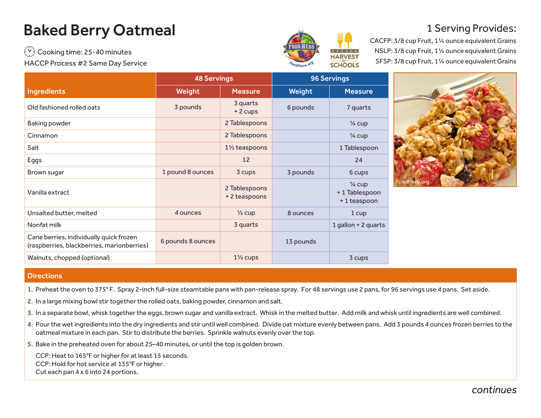## Baked Berry Oatmeal

 $(v)$  Cooking time: 25-40 minutes HACCP Process #2 Same Day Service



## 1 Serving Provides:

CACFP: 3/8 cup Fruit, 1¼ ounce equivalent Grains NSLP: 3/8 cup Fruit, 1¼ ounce equivalent Grains SFSP: 3/8 cup Fruit, 1¼ ounce equivalent Grains

|                                                                                       | <b>48 Servings</b> |                               | <b>96 Servings</b> |                                                   |  |
|---------------------------------------------------------------------------------------|--------------------|-------------------------------|--------------------|---------------------------------------------------|--|
| <b>Ingredients</b>                                                                    | Weight             | <b>Measure</b>                | Weight             | <b>Measure</b>                                    |  |
| Old fashioned rolled oats                                                             | 3 pounds           | 3 quarts<br>+ 2 cups          | 6 pounds           | 7 quarts                                          |  |
| Baking powder                                                                         |                    | 2 Tablespoons                 |                    | $\frac{1}{4}$ cup                                 |  |
| Cinnamon                                                                              |                    | 2 Tablespoons                 |                    | $\frac{1}{4}$ cup                                 |  |
| Salt                                                                                  |                    | $1\frac{1}{2}$ teaspoons      |                    | 1 Tablespoon                                      |  |
| Eggs                                                                                  |                    | 12                            |                    | 24                                                |  |
| Brown sugar                                                                           | 1 pound 8 ounces   | 3 cups                        | 3 pounds           | 6 cups                                            |  |
| Vanilla extract                                                                       |                    | 2 Tablespoons<br>+2 teaspoons |                    | $\frac{1}{4}$ cup<br>+1 Tablespoon<br>+1 teaspoon |  |
| Unsalted butter, melted                                                               | 4 ounces           | $\frac{1}{2}$ cup             | 8 ounces           | 1 cup                                             |  |
| Nonfat milk                                                                           |                    | 3 quarts                      |                    | 1 gallon + 2 quarts                               |  |
| Cane berries, individually quick frozen<br>(raspberries, blackberries, marionberries) | 6 pounds 8 ounces  |                               | 13 pounds          |                                                   |  |
| Walnuts, chopped (optional)                                                           |                    | $1\frac{1}{2}$ cups           |                    | 3 cups                                            |  |



## **Directions**

- 1. Preheat the oven to 375° F. Spray 2-inch full-size steamtable pans with pan-release spray. For 48 servings use 2 pans, for 96 servings use 4 pans. Set aside.
- 2. In a large mixing bowl stir together the rolled oats, baking powder, cinnamon and salt.
- 3. In a separate bowl, whisk together the eggs, brown sugar and vanilla extract. Whisk in the melted butter. Add milk and whisk until ingredients are well combined.
- 4. Pour the wet ingredients into the dry ingredients and stir until well combined. Divide oat mixture evenly between pans. Add 3 pounds 4 ounces frozen berries to the oatmeal mixture in each pan. Stir to distribute the berries. Sprinkle walnuts evenly over the top.
- 5. Bake in the preheated oven for about 25–40 minutes, or until the top is golden brown.

CCP: Heat to 165°F or higher for at least 15 seconds. CCP: Hold for hot service at 135°F or higher. Cut each pan 4 x 6 into 24 portions.